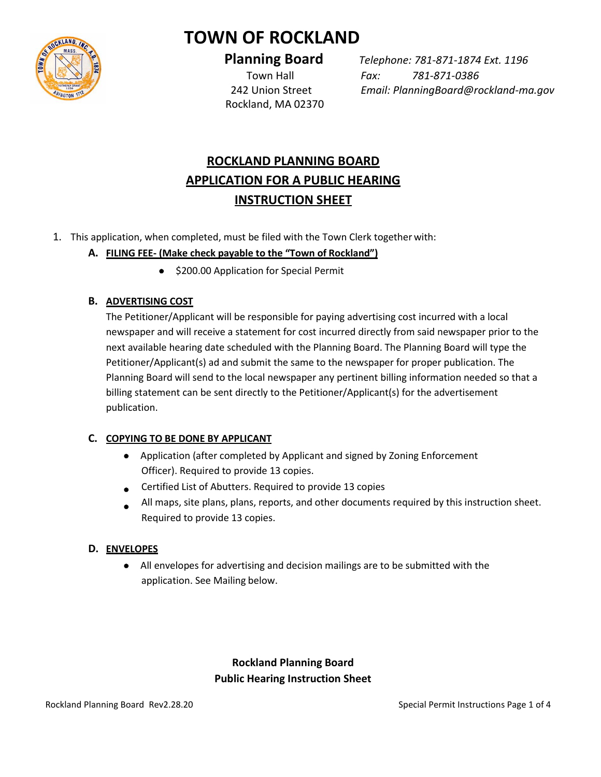

# **TOWN OF ROCKLAND**

Rockland, MA 02370

 **Planning Board** *Telephone: 781-871-1874 Ext. 1196* Town Hall *Fax: 781-871-0386* 242 Union Street *Email: PlanningBoard@rockland-ma.gov*

# **ROCKLAND PLANNING BOARD APPLICATION FOR A PUBLIC HEARING INSTRUCTION SHEET**

1. This application, when completed, must be filed with the Town Clerk together with:

# **A. FILING FEE- (Make check payable to the "Town of Rockland")**

 $\bullet$  \$200.00 Application for Special Permit

# **B. ADVERTISING COST**

The Petitioner/Applicant will be responsible for paying advertising cost incurred with a local newspaper and will receive a statement for cost incurred directly from said newspaper prior to the next available hearing date scheduled with the Planning Board. The Planning Board will type the Petitioner/Applicant(s) ad and submit the same to the newspaper for proper publication. The Planning Board will send to the local newspaper any pertinent billing information needed so that a billing statement can be sent directly to the Petitioner/Applicant(s) for the advertisement publication.

# **C. COPYING TO BE DONE BY APPLICANT**

- Application (after completed by Applicant and signed by Zoning Enforcement Officer). Required to provide 13 copies.
- Certified List of Abutters. Required to provide 13 copies
- All maps, site plans, plans, reports, and other documents required by this instruction sheet.  $\bullet$ Required to provide 13 copies.

# **D. ENVELOPES**

 All envelopes for advertising and decision mailings are to be submitted with the application. See Mailing below.

# **Rockland Planning Board Public Hearing Instruction Sheet**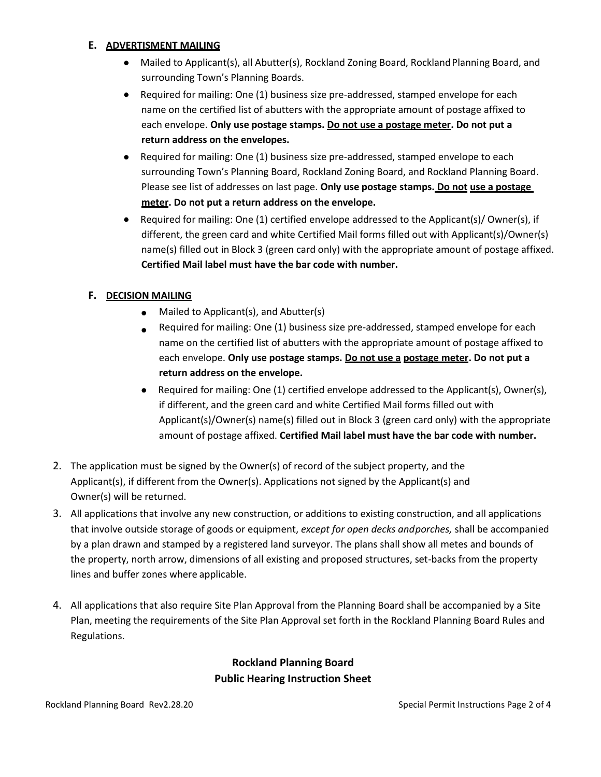#### **E. ADVERTISMENT MAILING**

- Mailed to Applicant(s), all Abutter(s), Rockland Zoning Board, Rockland Planning Board, and surrounding Town's Planning Boards.
- Required for mailing: One (1) business size pre-addressed, stamped envelope for each name on the certified list of abutters with the appropriate amount of postage affixed to each envelope. **Only use postage stamps. Do not use a postage meter. Do not put a return address on the envelopes.**
- Required for mailing: One (1) business size pre-addressed, stamped envelope to each surrounding Town's Planning Board, Rockland Zoning Board, and Rockland Planning Board. Please see list of addresses on last page. **Only use postage stamps. Do not use a postage meter. Do not put a return address on the envelope.**
- **•** Required for mailing: One (1) certified envelope addressed to the Applicant(s)/ Owner(s), if different, the green card and white Certified Mail forms filled out with Applicant(s)/Owner(s) name(s) filled out in Block 3 (green card only) with the appropriate amount of postage affixed. **Certified Mail label must have the bar code with number.**

### **F. DECISION MAILING**

- Mailed to Applicant(s), and Abutter(s)
- Required for mailing: One (1) business size pre-addressed, stamped envelope for each  $\bullet$ name on the certified list of abutters with the appropriate amount of postage affixed to each envelope. **Only use postage stamps. Do not use a postage meter. Do not put a return address on the envelope.**
- Required for mailing: One (1) certified envelope addressed to the Applicant(s), Owner(s), if different, and the green card and white Certified Mail forms filled out with Applicant(s)/Owner(s) name(s) filled out in Block 3 (green card only) with the appropriate amount of postage affixed. **Certified Mail label must have the bar code with number.**
- 2. The application must be signed by the Owner(s) of record of the subject property, and the Applicant(s), if different from the Owner(s). Applications not signed by the Applicant(s) and Owner(s) will be returned.
- 3. All applications that involve any new construction, or additions to existing construction, and all applications that involve outside storage of goods or equipment, *except for open decks andporches,* shall be accompanied by a plan drawn and stamped by a registered land surveyor. The plans shall show all metes and bounds of the property, north arrow, dimensions of all existing and proposed structures, set-backs from the property lines and buffer zones where applicable.
- 4. All applications that also require Site Plan Approval from the Planning Board shall be accompanied by a Site Plan, meeting the requirements of the Site Plan Approval set forth in the Rockland Planning Board Rules and Regulations.

# **Rockland Planning Board Public Hearing Instruction Sheet**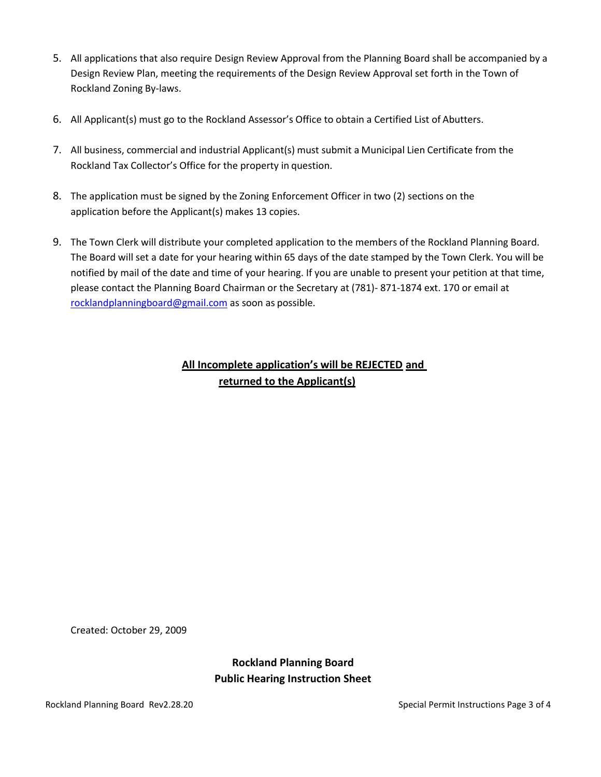- 5. All applications that also require Design Review Approval from the Planning Board shall be accompanied by a Design Review Plan, meeting the requirements of the Design Review Approval set forth in the Town of Rockland Zoning By-laws.
- 6. All Applicant(s) must go to the Rockland Assessor's Office to obtain a Certified List of Abutters.
- 7. All business, commercial and industrial Applicant(s) must submit a Municipal Lien Certificate from the Rockland Tax Collector's Office for the property in question.
- 8. The application must be signed by the Zoning Enforcement Officer in two (2) sections on the application before the Applicant(s) makes 13 copies.
- 9. The Town Clerk will distribute your completed application to the members of the Rockland Planning Board. The Board will set a date for your hearing within 65 days of the date stamped by the Town Clerk. You will be notified by mail of the date and time of your hearing. If you are unable to present your petition at that time, please contact the Planning Board Chairman or the Secretary at (781)- 871-1874 ext. 170 or email at [rocklandplanningboard@gmail.com](mailto:rocklandplanningboard@gmail.com) as soon as possible.

# **All Incomplete application's will be REJECTED and returned to the Applicant(s)**

Created: October 29, 2009

**Rockland Planning Board Public Hearing Instruction Sheet**